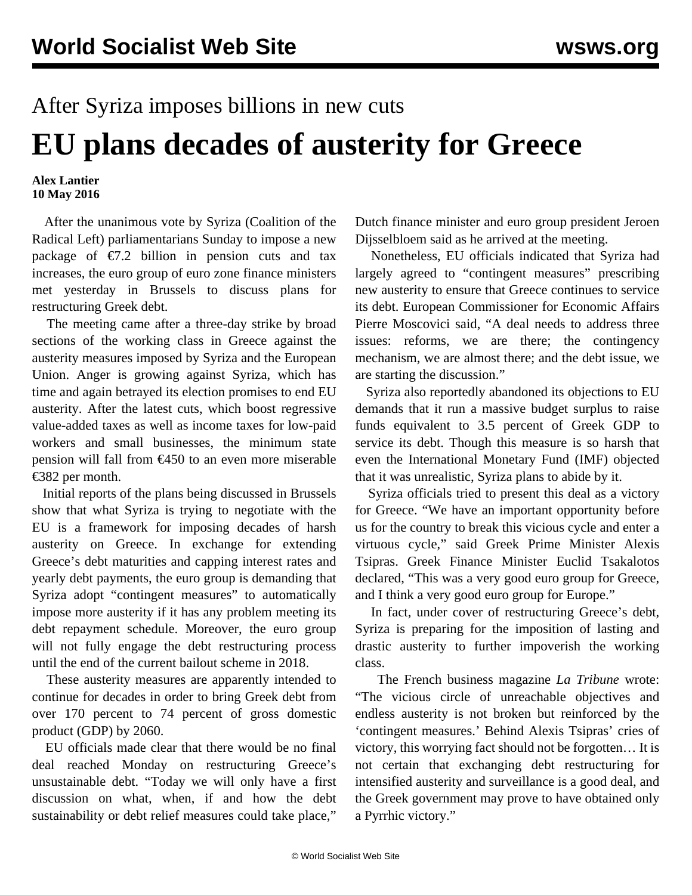## After Syriza imposes billions in new cuts **EU plans decades of austerity for Greece**

## **Alex Lantier 10 May 2016**

 After the unanimous vote by Syriza (Coalition of the Radical Left) parliamentarians Sunday to impose a new package of  $\epsilon$ 7.2 billion in pension cuts and tax increases, the euro group of euro zone finance ministers met yesterday in Brussels to discuss plans for restructuring Greek debt.

 The meeting came after a three-day strike by broad sections of the working class in Greece against the austerity measures imposed by Syriza and the European Union. Anger is growing against Syriza, which has time and again betrayed its election promises to end EU austerity. After the latest cuts, which boost regressive value-added taxes as well as income taxes for low-paid workers and small businesses, the minimum state pension will fall from €450 to an even more miserable €382 per month.

 Initial reports of the plans being discussed in Brussels show that what Syriza is trying to negotiate with the EU is a framework for imposing decades of harsh austerity on Greece. In exchange for extending Greece's debt maturities and capping interest rates and yearly debt payments, the euro group is demanding that Syriza adopt "contingent measures" to automatically impose more austerity if it has any problem meeting its debt repayment schedule. Moreover, the euro group will not fully engage the debt restructuring process until the end of the current bailout scheme in 2018.

 These austerity measures are apparently intended to continue for decades in order to bring Greek debt from over 170 percent to 74 percent of gross domestic product (GDP) by 2060.

 EU officials made clear that there would be no final deal reached Monday on restructuring Greece's unsustainable debt. "Today we will only have a first discussion on what, when, if and how the debt sustainability or debt relief measures could take place,"

Dutch finance minister and euro group president Jeroen Dijsselbloem said as he arrived at the meeting.

 Nonetheless, EU officials indicated that Syriza had largely agreed to "contingent measures" prescribing new austerity to ensure that Greece continues to service its debt. European Commissioner for Economic Affairs Pierre Moscovici said, "A deal needs to address three issues: reforms, we are there; the contingency mechanism, we are almost there; and the debt issue, we are starting the discussion."

 Syriza also reportedly abandoned its objections to EU demands that it run a massive budget surplus to raise funds equivalent to 3.5 percent of Greek GDP to service its debt. Though this measure is so harsh that even the International Monetary Fund (IMF) objected that it was unrealistic, Syriza plans to abide by it.

 Syriza officials tried to present this deal as a victory for Greece. "We have an important opportunity before us for the country to break this vicious cycle and enter a virtuous cycle," said Greek Prime Minister Alexis Tsipras. Greek Finance Minister Euclid Tsakalotos declared, "This was a very good euro group for Greece, and I think a very good euro group for Europe."

 In fact, under cover of restructuring Greece's debt, Syriza is preparing for the imposition of lasting and drastic austerity to further impoverish the working class.

 The French business magazine *La Tribune* wrote: "The vicious circle of unreachable objectives and endless austerity is not broken but reinforced by the 'contingent measures.' Behind Alexis Tsipras' cries of victory, this worrying fact should not be forgotten… It is not certain that exchanging debt restructuring for intensified austerity and surveillance is a good deal, and the Greek government may prove to have obtained only a Pyrrhic victory."